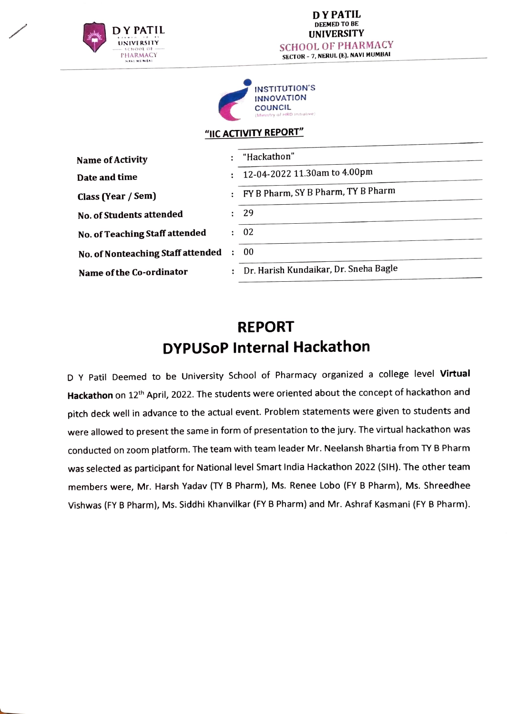



### "IIC ACTIVITY REPORT"

| Name of Activity                  | $\mathbf{H}^{\text{max}}$ | "Hackathon"                             |
|-----------------------------------|---------------------------|-----------------------------------------|
| Date and time                     |                           | : 12-04-2022 11.30am to 4.00pm          |
|                                   |                           | FY B Pharm, SY B Pharm, TY B Pharm      |
| Class (Year / Sem)                |                           |                                         |
| No. of Students attended          |                           | : 29                                    |
| No. of Teaching Staff attended    |                           | : 02                                    |
| No. of Nonteaching Staff attended | ÷.                        | -00                                     |
| Name of the Co-ordinator          |                           | : Dr. Harish Kundaikar, Dr. Sneha Bagle |
|                                   |                           |                                         |

## **REPORT** DYPUSOP Internal Hackathon

D Y Patil Deemed to be University School of Pharmacy organized a college level Virtual Hackathon on 12<sup>th</sup> April, 2022. The students were oriented about the concept of hackathon and pitch deck well in advance to the actual event. Problem statements were given to students and were allowed to present the same in form of presentation to the jury. The virtual hackathon was conducted on zoom platform. The team with team leader Mr. Neelansh Bhartia from TY B Pharm was selected as participant for National level Smart India Hackathon 2022 (SIH). The other team members were, Mr. Harsh Yadav (TY B Pharm), Ms. Renee Lobo (FY B Pharm), Ms. Shreedhee Vishwas (FY B Pharm), Ms. Siddhi Khanvilkar (FY B Pharm) and Mr. Ashraf Kasmani (FY B Pharm).